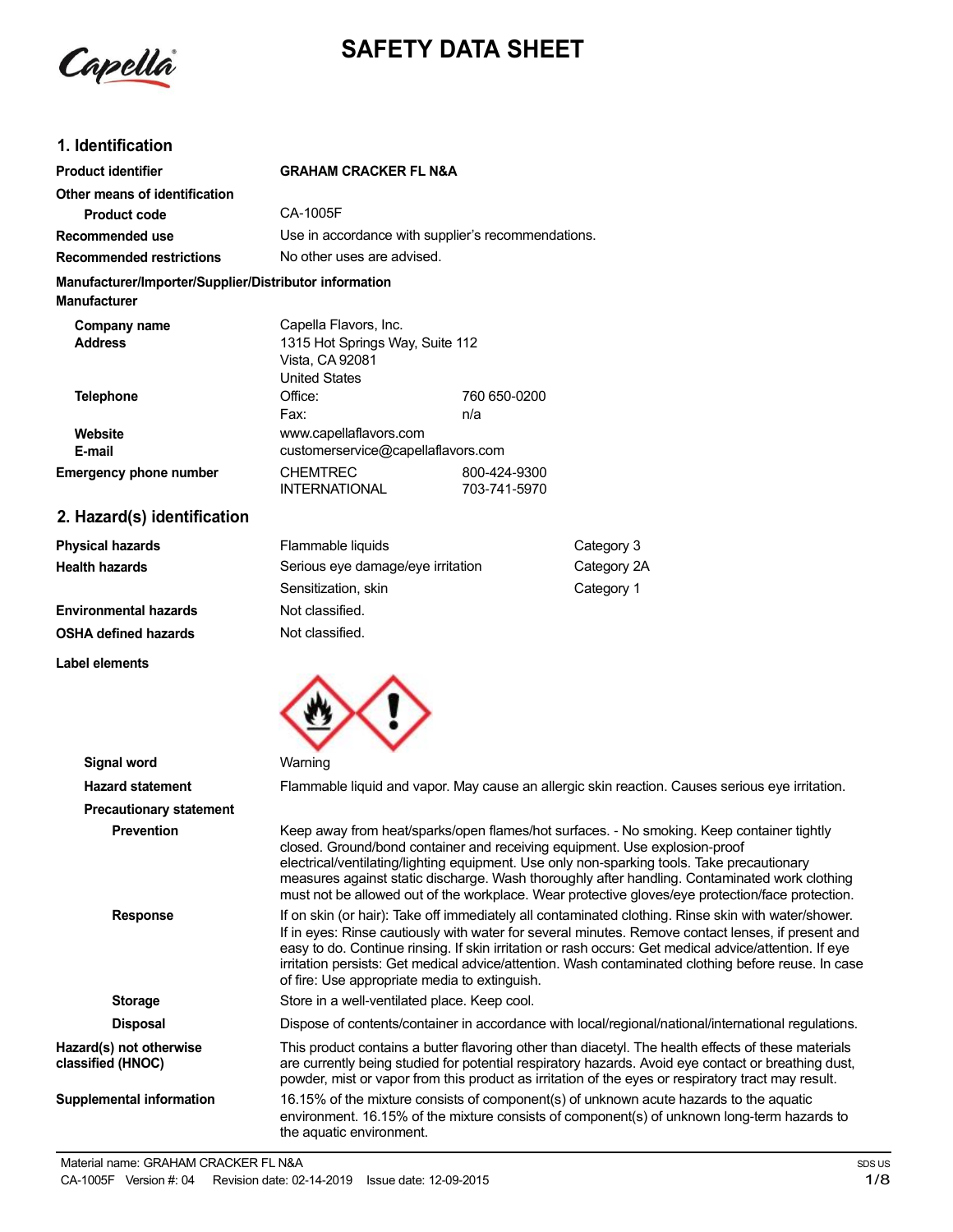Capella

# **SAFETY DATA SHEET**

## **1. Identification**

| <b>Product identifier</b>                                                     | <b>GRAHAM CRACKER FL N&amp;A</b>                                                                                                                                                                                                                                                                                                                                                                                                                                           |                              |                                                                                                                                                                                                                                                                                                                                                                                                                                                                            |
|-------------------------------------------------------------------------------|----------------------------------------------------------------------------------------------------------------------------------------------------------------------------------------------------------------------------------------------------------------------------------------------------------------------------------------------------------------------------------------------------------------------------------------------------------------------------|------------------------------|----------------------------------------------------------------------------------------------------------------------------------------------------------------------------------------------------------------------------------------------------------------------------------------------------------------------------------------------------------------------------------------------------------------------------------------------------------------------------|
| Other means of identification                                                 |                                                                                                                                                                                                                                                                                                                                                                                                                                                                            |                              |                                                                                                                                                                                                                                                                                                                                                                                                                                                                            |
| <b>Product code</b>                                                           | CA-1005F                                                                                                                                                                                                                                                                                                                                                                                                                                                                   |                              |                                                                                                                                                                                                                                                                                                                                                                                                                                                                            |
| Recommended use                                                               | Use in accordance with supplier's recommendations.                                                                                                                                                                                                                                                                                                                                                                                                                         |                              |                                                                                                                                                                                                                                                                                                                                                                                                                                                                            |
| Recommended restrictions                                                      | No other uses are advised.                                                                                                                                                                                                                                                                                                                                                                                                                                                 |                              |                                                                                                                                                                                                                                                                                                                                                                                                                                                                            |
| Manufacturer/Importer/Supplier/Distributor information<br><b>Manufacturer</b> |                                                                                                                                                                                                                                                                                                                                                                                                                                                                            |                              |                                                                                                                                                                                                                                                                                                                                                                                                                                                                            |
| Company name<br><b>Address</b>                                                | Capella Flavors, Inc.<br>1315 Hot Springs Way, Suite 112<br>Vista, CA 92081<br><b>United States</b>                                                                                                                                                                                                                                                                                                                                                                        |                              |                                                                                                                                                                                                                                                                                                                                                                                                                                                                            |
| <b>Telephone</b>                                                              | Office:<br>Fax:                                                                                                                                                                                                                                                                                                                                                                                                                                                            | 760 650-0200<br>n/a          |                                                                                                                                                                                                                                                                                                                                                                                                                                                                            |
| Website<br>E-mail                                                             | www.capellaflavors.com<br>customerservice@capellaflavors.com                                                                                                                                                                                                                                                                                                                                                                                                               |                              |                                                                                                                                                                                                                                                                                                                                                                                                                                                                            |
| <b>Emergency phone number</b>                                                 | <b>CHEMTREC</b><br><b>INTERNATIONAL</b>                                                                                                                                                                                                                                                                                                                                                                                                                                    | 800-424-9300<br>703-741-5970 |                                                                                                                                                                                                                                                                                                                                                                                                                                                                            |
| 2. Hazard(s) identification                                                   |                                                                                                                                                                                                                                                                                                                                                                                                                                                                            |                              |                                                                                                                                                                                                                                                                                                                                                                                                                                                                            |
| <b>Physical hazards</b>                                                       | Flammable liquids                                                                                                                                                                                                                                                                                                                                                                                                                                                          |                              | Category 3                                                                                                                                                                                                                                                                                                                                                                                                                                                                 |
| <b>Health hazards</b>                                                         | Serious eye damage/eye irritation                                                                                                                                                                                                                                                                                                                                                                                                                                          |                              | Category 2A                                                                                                                                                                                                                                                                                                                                                                                                                                                                |
|                                                                               | Sensitization, skin                                                                                                                                                                                                                                                                                                                                                                                                                                                        |                              | Category 1                                                                                                                                                                                                                                                                                                                                                                                                                                                                 |
| <b>Environmental hazards</b>                                                  | Not classified.                                                                                                                                                                                                                                                                                                                                                                                                                                                            |                              |                                                                                                                                                                                                                                                                                                                                                                                                                                                                            |
| OSHA defined hazards                                                          | Not classified.                                                                                                                                                                                                                                                                                                                                                                                                                                                            |                              |                                                                                                                                                                                                                                                                                                                                                                                                                                                                            |
| Label elements                                                                |                                                                                                                                                                                                                                                                                                                                                                                                                                                                            |                              |                                                                                                                                                                                                                                                                                                                                                                                                                                                                            |
|                                                                               |                                                                                                                                                                                                                                                                                                                                                                                                                                                                            |                              |                                                                                                                                                                                                                                                                                                                                                                                                                                                                            |
| <b>Signal word</b>                                                            | Warning                                                                                                                                                                                                                                                                                                                                                                                                                                                                    |                              |                                                                                                                                                                                                                                                                                                                                                                                                                                                                            |
| <b>Hazard statement</b>                                                       |                                                                                                                                                                                                                                                                                                                                                                                                                                                                            |                              | Flammable liquid and vapor. May cause an allergic skin reaction. Causes serious eye irritation.                                                                                                                                                                                                                                                                                                                                                                            |
| <b>Precautionary statement</b>                                                |                                                                                                                                                                                                                                                                                                                                                                                                                                                                            |                              |                                                                                                                                                                                                                                                                                                                                                                                                                                                                            |
| <b>Prevention</b>                                                             |                                                                                                                                                                                                                                                                                                                                                                                                                                                                            |                              | Keep away from heat/sparks/open flames/hot surfaces. - No smoking. Keep container tightly<br>closed. Ground/bond container and receiving equipment. Use explosion-proof<br>electrical/ventilating/lighting equipment. Use only non-sparking tools. Take precautionary<br>measures against static discharge. Wash thoroughly after handling. Contaminated work clothing<br>must not be allowed out of the workplace. Wear protective gloves/eye protection/face protection. |
| <b>Response</b>                                                               | If on skin (or hair): Take off immediately all contaminated clothing. Rinse skin with water/shower.<br>If in eyes: Rinse cautiously with water for several minutes. Remove contact lenses, if present and<br>easy to do. Continue rinsing. If skin irritation or rash occurs: Get medical advice/attention. If eye<br>irritation persists: Get medical advice/attention. Wash contaminated clothing before reuse. In case<br>of fire: Use appropriate media to extinguish. |                              |                                                                                                                                                                                                                                                                                                                                                                                                                                                                            |
| <b>Storage</b>                                                                | Store in a well-ventilated place. Keep cool.                                                                                                                                                                                                                                                                                                                                                                                                                               |                              |                                                                                                                                                                                                                                                                                                                                                                                                                                                                            |
| <b>Disposal</b>                                                               |                                                                                                                                                                                                                                                                                                                                                                                                                                                                            |                              | Dispose of contents/container in accordance with local/regional/national/international regulations.                                                                                                                                                                                                                                                                                                                                                                        |
| Hazard(s) not otherwise<br>classified (HNOC)                                  |                                                                                                                                                                                                                                                                                                                                                                                                                                                                            |                              | This product contains a butter flavoring other than diacetyl. The health effects of these materials<br>are currently being studied for potential respiratory hazards. Avoid eye contact or breathing dust,<br>powder, mist or vapor from this product as irritation of the eyes or respiratory tract may result.                                                                                                                                                           |
|                                                                               |                                                                                                                                                                                                                                                                                                                                                                                                                                                                            |                              |                                                                                                                                                                                                                                                                                                                                                                                                                                                                            |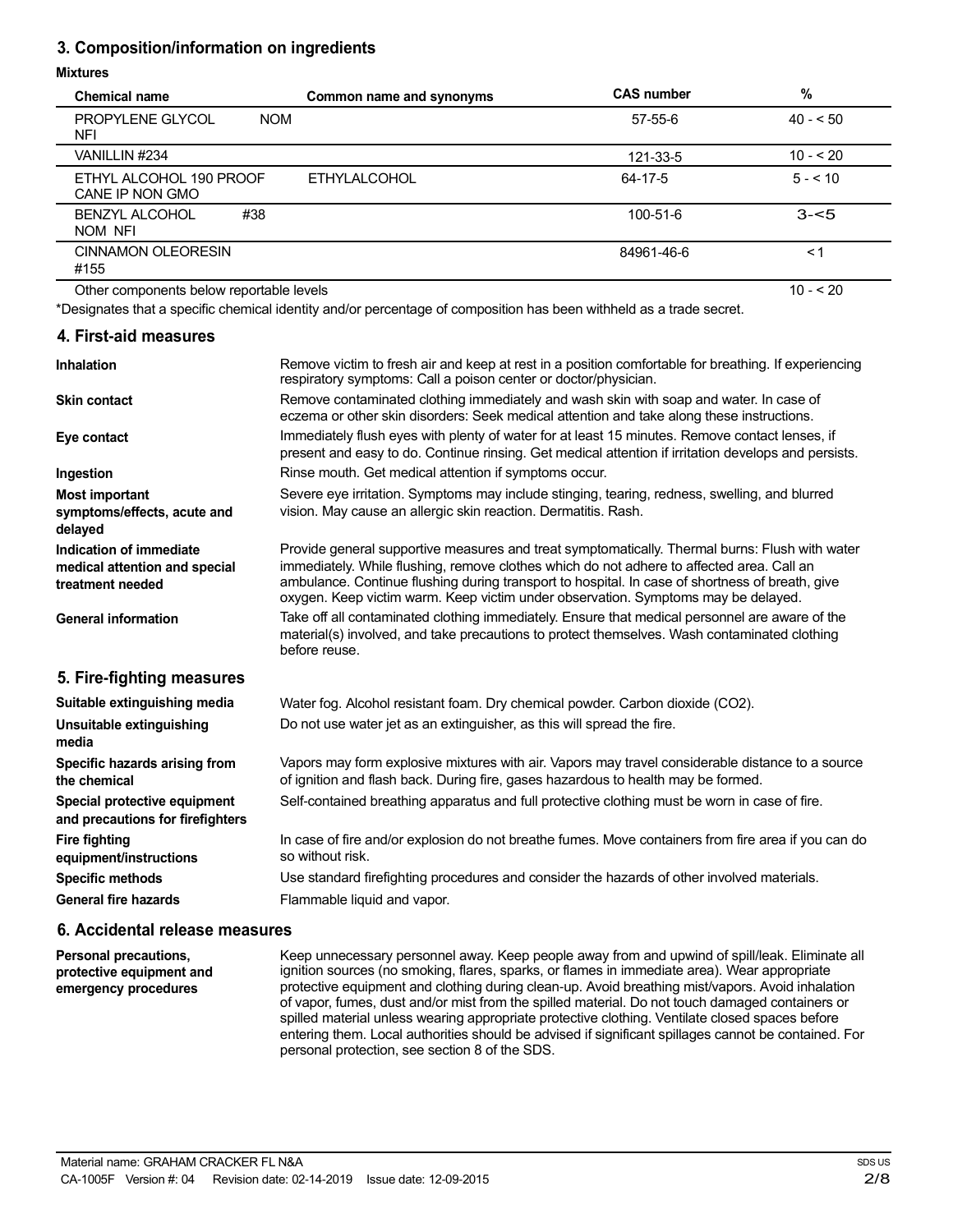### **3. Composition/information on ingredients**

### **Mixtures**

| Chemical name                                | Common name and synonyms | <b>CAS number</b> | $\%$       |
|----------------------------------------------|--------------------------|-------------------|------------|
| <b>NOM</b><br><b>PROPYLENE GLYCOL</b><br>NFI |                          | $57 - 55 - 6$     | $40 - 50$  |
| VANILLIN #234                                |                          | 121-33-5          | $10 - 20$  |
| ETHYL ALCOHOL 190 PROOF<br>CANE IP NON GMO   | <b>ETHYLALCOHOL</b>      | 64-17-5           | $5 - 510$  |
| #38<br><b>BENZYL ALCOHOL</b><br>NOM NFI      |                          | $100 - 51 - 6$    | $3 - 5$    |
| <b>CINNAMON OLEORESIN</b><br>#155            |                          | 84961-46-6        | $\leq$ 1   |
| Other components below reportable levels     |                          |                   | $10 - 520$ |

\*Designates that a specific chemical identity and/or percentage of composition has been withheld as a trade secret.

### **4. First-aid measures**

| Remove victim to fresh air and keep at rest in a position comfortable for breathing. If experiencing<br>respiratory symptoms: Call a poison center or doctor/physician.                                                                                                                                                                                                             |
|-------------------------------------------------------------------------------------------------------------------------------------------------------------------------------------------------------------------------------------------------------------------------------------------------------------------------------------------------------------------------------------|
| Remove contaminated clothing immediately and wash skin with soap and water. In case of<br>eczema or other skin disorders: Seek medical attention and take along these instructions.                                                                                                                                                                                                 |
| Immediately flush eyes with plenty of water for at least 15 minutes. Remove contact lenses, if<br>present and easy to do. Continue rinsing. Get medical attention if irritation develops and persists.                                                                                                                                                                              |
| Rinse mouth. Get medical attention if symptoms occur.                                                                                                                                                                                                                                                                                                                               |
| Severe eye irritation. Symptoms may include stinging, tearing, redness, swelling, and blurred<br>vision. May cause an allergic skin reaction. Dermatitis. Rash.                                                                                                                                                                                                                     |
| Provide general supportive measures and treat symptomatically. Thermal burns: Flush with water<br>immediately. While flushing, remove clothes which do not adhere to affected area. Call an<br>ambulance. Continue flushing during transport to hospital. In case of shortness of breath, give<br>oxygen. Keep victim warm. Keep victim under observation. Symptoms may be delayed. |
| Take off all contaminated clothing immediately. Ensure that medical personnel are aware of the<br>material(s) involved, and take precautions to protect themselves. Wash contaminated clothing<br>before reuse.                                                                                                                                                                     |
|                                                                                                                                                                                                                                                                                                                                                                                     |
| Water fog. Alcohol resistant foam. Dry chemical powder. Carbon dioxide (CO2).                                                                                                                                                                                                                                                                                                       |
| Do not use water jet as an extinguisher, as this will spread the fire.                                                                                                                                                                                                                                                                                                              |
| Vapors may form explosive mixtures with air. Vapors may travel considerable distance to a source<br>of ignition and flash back. During fire, gases hazardous to health may be formed.                                                                                                                                                                                               |
| Self-contained breathing apparatus and full protective clothing must be worn in case of fire.                                                                                                                                                                                                                                                                                       |
| In case of fire and/or explosion do not breathe fumes. Move containers from fire area if you can do<br>so without risk.                                                                                                                                                                                                                                                             |
| Use standard firefighting procedures and consider the hazards of other involved materials.                                                                                                                                                                                                                                                                                          |
| Flammable liquid and vapor.                                                                                                                                                                                                                                                                                                                                                         |
|                                                                                                                                                                                                                                                                                                                                                                                     |

### **6. Accidental release measures**

**Personal precautions, protective equipment and emergency procedures**

Keep unnecessary personnel away. Keep people away from and upwind of spill/leak. Eliminate all ignition sources (no smoking, flares, sparks, or flames in immediate area). Wear appropriate protective equipment and clothing during clean-up. Avoid breathing mist/vapors. Avoid inhalation of vapor, fumes, dust and/or mist from the spilled material. Do not touch damaged containers or spilled material unless wearing appropriate protective clothing. Ventilate closed spaces before entering them. Local authorities should be advised if significant spillages cannot be contained. For personal protection, see section 8 of the SDS.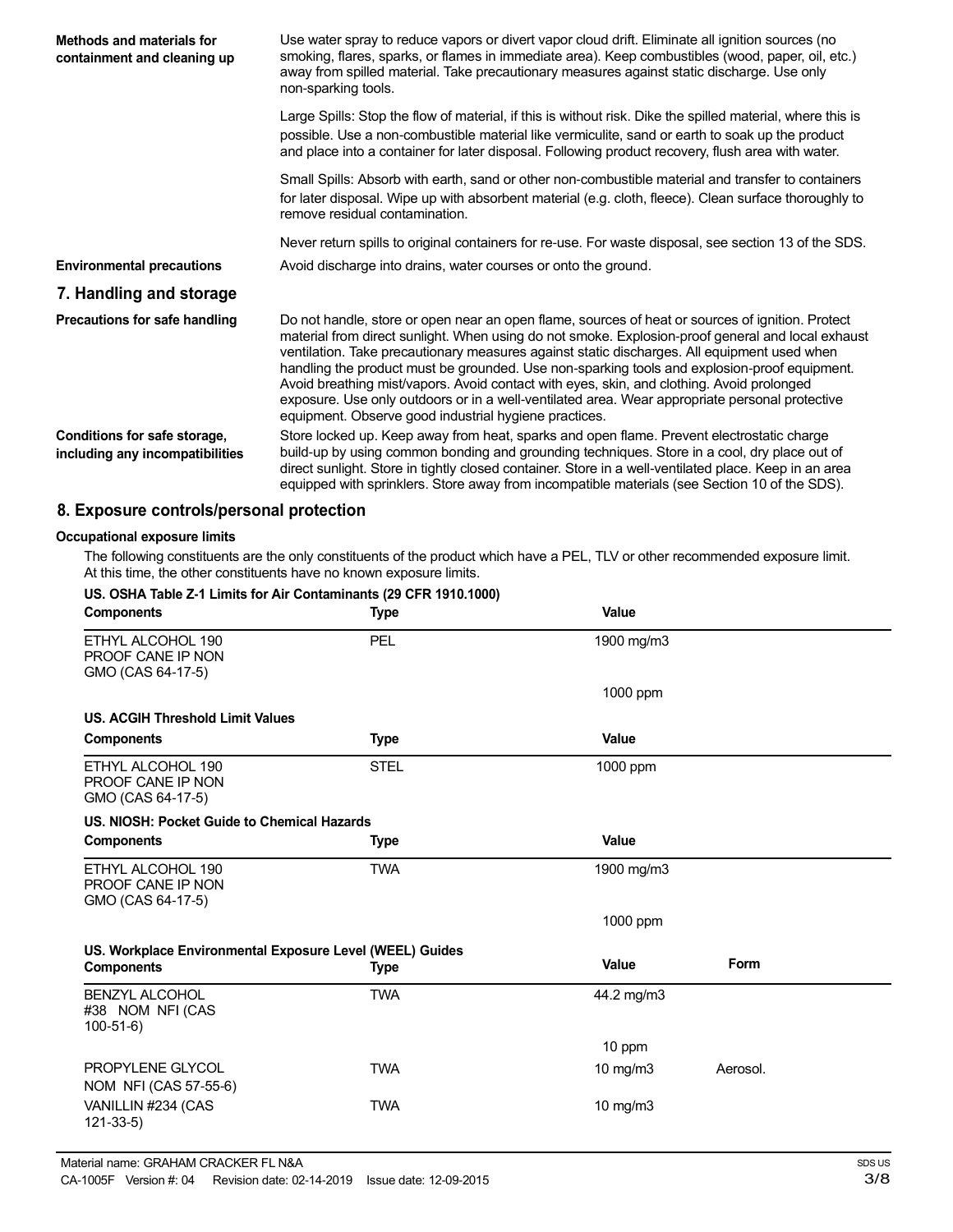| Methods and materials for<br>containment and cleaning up        | Use water spray to reduce vapors or divert vapor cloud drift. Eliminate all ignition sources (no<br>smoking, flares, sparks, or flames in immediate area). Keep combustibles (wood, paper, oil, etc.)<br>away from spilled material. Take precautionary measures against static discharge. Use only<br>non-sparking tools.                                                                                                                                                                                                                                                                                                                                   |  |  |
|-----------------------------------------------------------------|--------------------------------------------------------------------------------------------------------------------------------------------------------------------------------------------------------------------------------------------------------------------------------------------------------------------------------------------------------------------------------------------------------------------------------------------------------------------------------------------------------------------------------------------------------------------------------------------------------------------------------------------------------------|--|--|
|                                                                 | Large Spills: Stop the flow of material, if this is without risk. Dike the spilled material, where this is<br>possible. Use a non-combustible material like vermiculite, sand or earth to soak up the product<br>and place into a container for later disposal. Following product recovery, flush area with water.                                                                                                                                                                                                                                                                                                                                           |  |  |
|                                                                 | Small Spills: Absorb with earth, sand or other non-combustible material and transfer to containers<br>for later disposal. Wipe up with absorbent material (e.g. cloth, fleece). Clean surface thoroughly to<br>remove residual contamination.                                                                                                                                                                                                                                                                                                                                                                                                                |  |  |
|                                                                 | Never return spills to original containers for re-use. For waste disposal, see section 13 of the SDS.                                                                                                                                                                                                                                                                                                                                                                                                                                                                                                                                                        |  |  |
| <b>Environmental precautions</b>                                | Avoid discharge into drains, water courses or onto the ground.                                                                                                                                                                                                                                                                                                                                                                                                                                                                                                                                                                                               |  |  |
| 7. Handling and storage                                         |                                                                                                                                                                                                                                                                                                                                                                                                                                                                                                                                                                                                                                                              |  |  |
| Precautions for safe handling                                   | Do not handle, store or open near an open flame, sources of heat or sources of ignition. Protect<br>material from direct sunlight. When using do not smoke. Explosion-proof general and local exhaust<br>ventilation. Take precautionary measures against static discharges. All equipment used when<br>handling the product must be grounded. Use non-sparking tools and explosion-proof equipment.<br>Avoid breathing mist/vapors. Avoid contact with eyes, skin, and clothing. Avoid prolonged<br>exposure. Use only outdoors or in a well-ventilated area. Wear appropriate personal protective<br>equipment. Observe good industrial hygiene practices. |  |  |
| Conditions for safe storage,<br>including any incompatibilities | Store locked up. Keep away from heat, sparks and open flame. Prevent electrostatic charge<br>build-up by using common bonding and grounding techniques. Store in a cool, dry place out of<br>direct sunlight. Store in tightly closed container. Store in a well-ventilated place. Keep in an area<br>equipped with sprinklers. Store away from incompatible materials (see Section 10 of the SDS).                                                                                                                                                                                                                                                          |  |  |

## **8. Exposure controls/personal protection**

### **Occupational exposure limits**

The following constituents are the only constituents of the product which have a PEL, TLV or other recommended exposure limit. At this time, the other constituents have no known exposure limits.

| US. OSHA Table Z-1 Limits for Air Contaminants (29 CFR 1910.1000)             |             |            |             |
|-------------------------------------------------------------------------------|-------------|------------|-------------|
| <b>Components</b>                                                             | <b>Type</b> | Value      |             |
| ETHYL ALCOHOL 190<br>PROOF CANE IP NON<br>GMO (CAS 64-17-5)                   | PEL         | 1900 mg/m3 |             |
|                                                                               |             | 1000 ppm   |             |
| US. ACGIH Threshold Limit Values                                              |             |            |             |
| <b>Components</b>                                                             | <b>Type</b> | Value      |             |
| ETHYL ALCOHOL 190<br>PROOF CANE IP NON<br>GMO (CAS 64-17-5)                   | <b>STEL</b> | 1000 ppm   |             |
| US. NIOSH: Pocket Guide to Chemical Hazards                                   |             |            |             |
| <b>Components</b>                                                             | <b>Type</b> | Value      |             |
| ETHYL ALCOHOL 190<br>PROOF CANE IP NON<br>GMO (CAS 64-17-5)                   | <b>TWA</b>  | 1900 mg/m3 |             |
|                                                                               |             | 1000 ppm   |             |
| US. Workplace Environmental Exposure Level (WEEL) Guides<br><b>Components</b> | <b>Type</b> | Value      | <b>Form</b> |
| <b>BENZYL ALCOHOL</b><br>#38 NOM NFI (CAS<br>$100-51-6$                       | <b>TWA</b>  | 44.2 mg/m3 |             |
|                                                                               |             | 10 ppm     |             |
| PROPYLENE GLYCOL<br>NOM NFI (CAS 57-55-6)                                     | <b>TWA</b>  | 10 $mg/m3$ | Aerosol.    |
| VANILLIN #234 (CAS<br>$121 - 33 - 5$                                          | <b>TWA</b>  | 10 $mg/m3$ |             |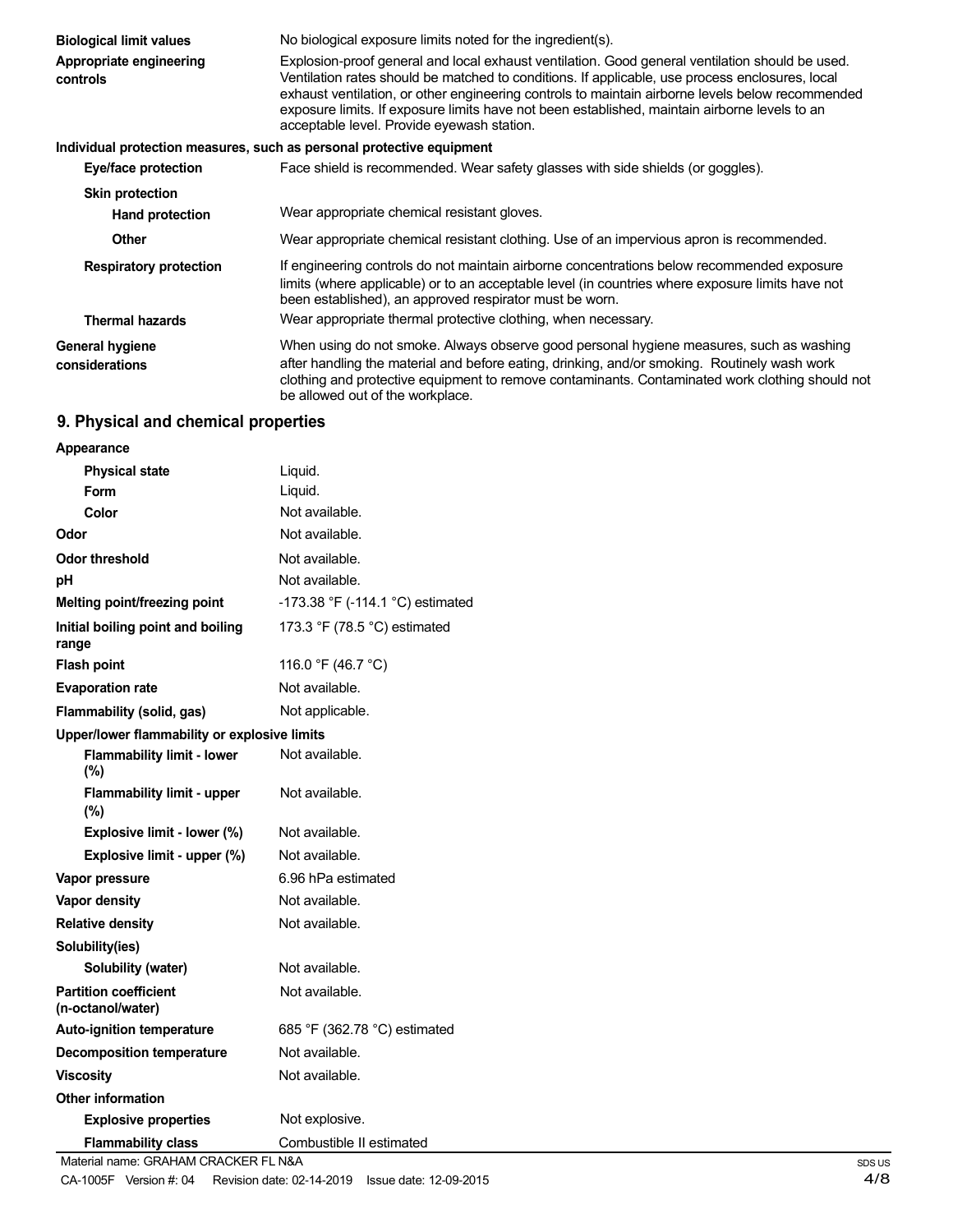| <b>Biological limit values</b>           | No biological exposure limits noted for the ingredient(s).                                                                                                                                                                                                                                                                                                                                                                                            |  |
|------------------------------------------|-------------------------------------------------------------------------------------------------------------------------------------------------------------------------------------------------------------------------------------------------------------------------------------------------------------------------------------------------------------------------------------------------------------------------------------------------------|--|
| Appropriate engineering<br>controls      | Explosion-proof general and local exhaust ventilation. Good general ventilation should be used.<br>Ventilation rates should be matched to conditions. If applicable, use process enclosures, local<br>exhaust ventilation, or other engineering controls to maintain airborne levels below recommended<br>exposure limits. If exposure limits have not been established, maintain airborne levels to an<br>acceptable level. Provide eyewash station. |  |
|                                          | Individual protection measures, such as personal protective equipment                                                                                                                                                                                                                                                                                                                                                                                 |  |
| Eye/face protection                      | Face shield is recommended. Wear safety glasses with side shields (or goggles).                                                                                                                                                                                                                                                                                                                                                                       |  |
| <b>Skin protection</b>                   |                                                                                                                                                                                                                                                                                                                                                                                                                                                       |  |
| <b>Hand protection</b>                   | Wear appropriate chemical resistant gloves.                                                                                                                                                                                                                                                                                                                                                                                                           |  |
| <b>Other</b>                             | Wear appropriate chemical resistant clothing. Use of an impervious apron is recommended.                                                                                                                                                                                                                                                                                                                                                              |  |
| <b>Respiratory protection</b>            | If engineering controls do not maintain airborne concentrations below recommended exposure<br>limits (where applicable) or to an acceptable level (in countries where exposure limits have not<br>been established), an approved respirator must be worn.                                                                                                                                                                                             |  |
| <b>Thermal hazards</b>                   | Wear appropriate thermal protective clothing, when necessary.                                                                                                                                                                                                                                                                                                                                                                                         |  |
| <b>General hygiene</b><br>considerations | When using do not smoke. Always observe good personal hygiene measures, such as washing<br>after handling the material and before eating, drinking, and/or smoking. Routinely wash work<br>clothing and protective equipment to remove contaminants. Contaminated work clothing should not<br>be allowed out of the workplace.                                                                                                                        |  |

# **9. Physical and chemical properties**

| Appearance                                        |                                  |
|---------------------------------------------------|----------------------------------|
| <b>Physical state</b>                             | Liquid.                          |
| Form                                              | Liquid.                          |
| Color                                             | Not available.                   |
| Odor                                              | Not available.                   |
| Odor threshold                                    | Not available.                   |
| рH                                                | Not available.                   |
| Melting point/freezing point                      | -173.38 °F (-114.1 °C) estimated |
| Initial boiling point and boiling<br>range        | 173.3 °F (78.5 °C) estimated     |
| <b>Flash point</b>                                | 116.0 °F (46.7 °C)               |
| <b>Evaporation rate</b>                           | Not available.                   |
| Flammability (solid, gas)                         | Not applicable.                  |
| Upper/lower flammability or explosive limits      |                                  |
| <b>Flammability limit - lower</b><br>$(\%)$       | Not available.                   |
| <b>Flammability limit - upper</b><br>$(\%)$       | Not available.                   |
| Explosive limit - lower (%)                       | Not available.                   |
| Explosive limit - upper (%)                       | Not available.                   |
| Vapor pressure                                    | 6.96 hPa estimated               |
| Vapor density                                     | Not available.                   |
| <b>Relative density</b>                           | Not available.                   |
| Solubility(ies)                                   |                                  |
| Solubility (water)                                | Not available.                   |
| <b>Partition coefficient</b><br>(n-octanol/water) | Not available.                   |
| <b>Auto-ignition temperature</b>                  | 685 °F (362.78 °C) estimated     |
| <b>Decomposition temperature</b>                  | Not available.                   |
| <b>Viscosity</b>                                  | Not available.                   |
| Other information                                 |                                  |
| <b>Explosive properties</b>                       | Not explosive.                   |
| <b>Flammability class</b>                         | Combustible II estimated         |
| Material name: GRAHAM CRACKER FL N&A              |                                  |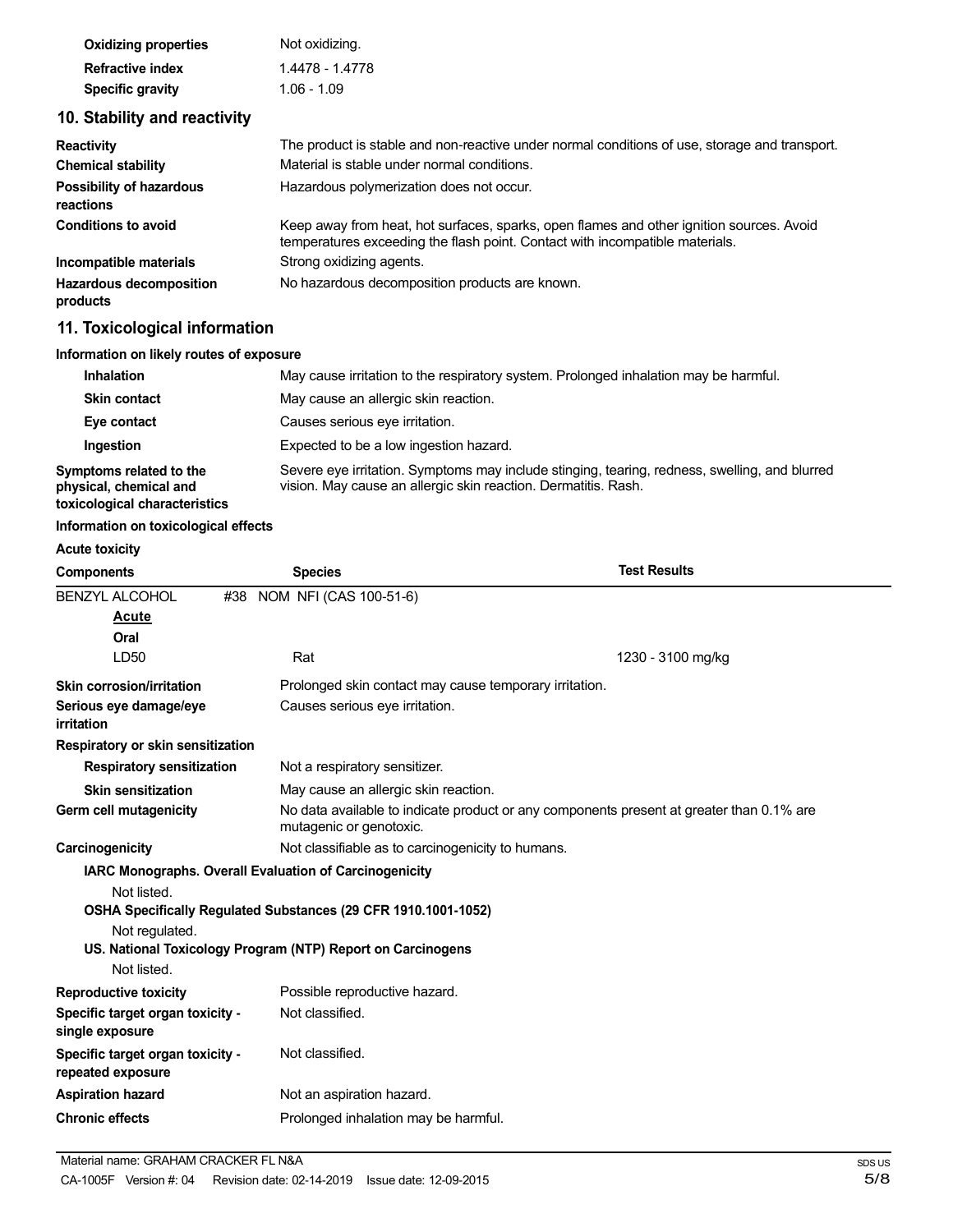| <b>Oxidizing properties</b> | Not oxidizing.  |
|-----------------------------|-----------------|
| <b>Refractive index</b>     | 1.4478 - 1.4778 |
| <b>Specific gravity</b>     | $1.06 - 1.09$   |

# **10. Stability and reactivity**

| <b>Reactivity</b>                            | The product is stable and non-reactive under normal conditions of use, storage and transport.                                                                            |
|----------------------------------------------|--------------------------------------------------------------------------------------------------------------------------------------------------------------------------|
| <b>Chemical stability</b>                    | Material is stable under normal conditions.                                                                                                                              |
| <b>Possibility of hazardous</b><br>reactions | Hazardous polymerization does not occur.                                                                                                                                 |
| <b>Conditions to avoid</b>                   | Keep away from heat, hot surfaces, sparks, open flames and other ignition sources. Avoid<br>temperatures exceeding the flash point. Contact with incompatible materials. |
| Incompatible materials                       | Strong oxidizing agents.                                                                                                                                                 |
| <b>Hazardous decomposition</b><br>products   | No hazardous decomposition products are known.                                                                                                                           |

# **11. Toxicological information**

### **Information on likely routes of exposure**

| <b>Inhalation</b>                                                                  | May cause irritation to the respiratory system. Prolonged inhalation may be harmful.                                                                            |
|------------------------------------------------------------------------------------|-----------------------------------------------------------------------------------------------------------------------------------------------------------------|
| <b>Skin contact</b>                                                                | May cause an allergic skin reaction.                                                                                                                            |
| Eye contact                                                                        | Causes serious eye irritation.                                                                                                                                  |
| Ingestion                                                                          | Expected to be a low ingestion hazard.                                                                                                                          |
| Symptoms related to the<br>physical, chemical and<br>toxicological characteristics | Severe eye irritation. Symptoms may include stinging, tearing, redness, swelling, and blurred<br>vision. May cause an allergic skin reaction. Dermatitis. Rash. |

### **Information on toxicological effects**

### **Acute toxicity**

| <b>Components</b>                                     |     | <b>Species</b>                                                 | <b>Test Results</b>                                                                      |
|-------------------------------------------------------|-----|----------------------------------------------------------------|------------------------------------------------------------------------------------------|
| <b>BENZYL ALCOHOL</b><br>Acute                        | #38 | NOM NFI (CAS 100-51-6)                                         |                                                                                          |
| Oral                                                  |     |                                                                |                                                                                          |
| LD50                                                  |     | Rat                                                            | 1230 - 3100 mg/kg                                                                        |
| Skin corrosion/irritation                             |     | Prolonged skin contact may cause temporary irritation.         |                                                                                          |
| Serious eye damage/eye<br>irritation                  |     | Causes serious eye irritation.                                 |                                                                                          |
| Respiratory or skin sensitization                     |     |                                                                |                                                                                          |
| <b>Respiratory sensitization</b>                      |     | Not a respiratory sensitizer.                                  |                                                                                          |
| <b>Skin sensitization</b>                             |     | May cause an allergic skin reaction.                           |                                                                                          |
| Germ cell mutagenicity                                |     | mutagenic or genotoxic.                                        | No data available to indicate product or any components present at greater than 0.1% are |
| Carcinogenicity                                       |     | Not classifiable as to carcinogenicity to humans.              |                                                                                          |
|                                                       |     | IARC Monographs. Overall Evaluation of Carcinogenicity         |                                                                                          |
| Not listed.                                           |     |                                                                |                                                                                          |
|                                                       |     | OSHA Specifically Regulated Substances (29 CFR 1910.1001-1052) |                                                                                          |
| Not regulated.                                        |     |                                                                |                                                                                          |
| Not listed.                                           |     | US. National Toxicology Program (NTP) Report on Carcinogens    |                                                                                          |
| <b>Reproductive toxicity</b>                          |     | Possible reproductive hazard.                                  |                                                                                          |
| Specific target organ toxicity -<br>single exposure   |     | Not classified.                                                |                                                                                          |
| Specific target organ toxicity -<br>repeated exposure |     | Not classified.                                                |                                                                                          |
| <b>Aspiration hazard</b>                              |     | Not an aspiration hazard.                                      |                                                                                          |
| <b>Chronic effects</b>                                |     | Prolonged inhalation may be harmful.                           |                                                                                          |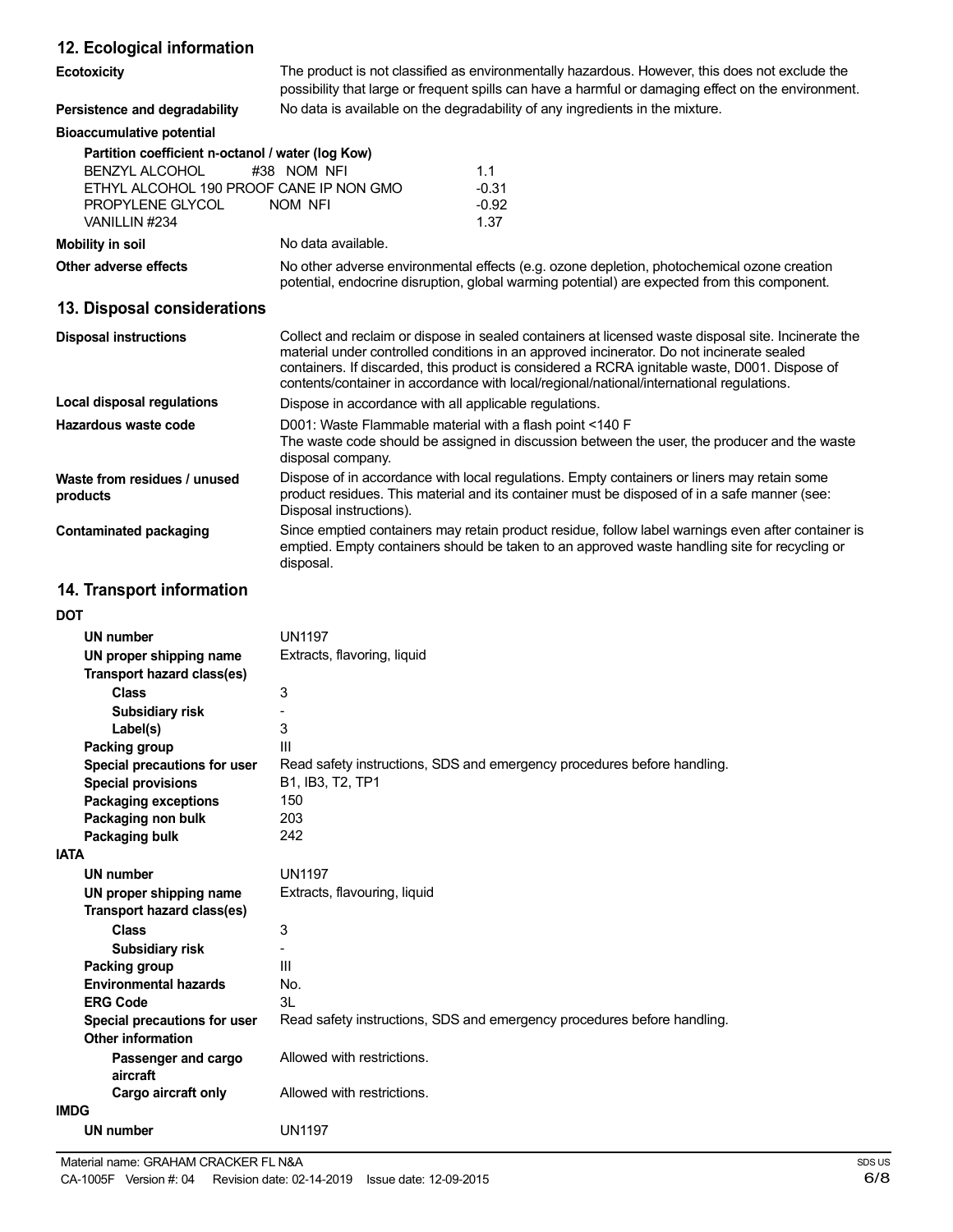# **12. Ecological information**

| <b>Ecotoxicity</b>                                                                                                                                         | The product is not classified as environmentally hazardous. However, this does not exclude the<br>possibility that large or frequent spills can have a harmful or damaging effect on the environment.                                                                                                                                                                                         |  |  |
|------------------------------------------------------------------------------------------------------------------------------------------------------------|-----------------------------------------------------------------------------------------------------------------------------------------------------------------------------------------------------------------------------------------------------------------------------------------------------------------------------------------------------------------------------------------------|--|--|
| Persistence and degradability                                                                                                                              | No data is available on the degradability of any ingredients in the mixture.                                                                                                                                                                                                                                                                                                                  |  |  |
| <b>Bioaccumulative potential</b>                                                                                                                           |                                                                                                                                                                                                                                                                                                                                                                                               |  |  |
| Partition coefficient n-octanol / water (log Kow)<br><b>BENZYL ALCOHOL</b><br>ETHYL ALCOHOL 190 PROOF CANE IP NON GMO<br>PROPYLENE GLYCOL<br>VANILLIN #234 | #38 NOM NFI<br>1.1<br>$-0.31$<br>$-0.92$<br><b>NOM NFI</b><br>1.37                                                                                                                                                                                                                                                                                                                            |  |  |
| <b>Mobility in soil</b>                                                                                                                                    | No data available.                                                                                                                                                                                                                                                                                                                                                                            |  |  |
| Other adverse effects                                                                                                                                      | No other adverse environmental effects (e.g. ozone depletion, photochemical ozone creation<br>potential, endocrine disruption, global warming potential) are expected from this component.                                                                                                                                                                                                    |  |  |
| 13. Disposal considerations                                                                                                                                |                                                                                                                                                                                                                                                                                                                                                                                               |  |  |
| <b>Disposal instructions</b>                                                                                                                               | Collect and reclaim or dispose in sealed containers at licensed waste disposal site. Incinerate the<br>material under controlled conditions in an approved incinerator. Do not incinerate sealed<br>containers. If discarded, this product is considered a RCRA ignitable waste, D001. Dispose of<br>contents/container in accordance with local/regional/national/international regulations. |  |  |
| <b>Local disposal regulations</b>                                                                                                                          | Dispose in accordance with all applicable regulations.                                                                                                                                                                                                                                                                                                                                        |  |  |
| Hazardous waste code                                                                                                                                       | D001: Waste Flammable material with a flash point <140 F<br>The waste code should be assigned in discussion between the user, the producer and the waste<br>disposal company.                                                                                                                                                                                                                 |  |  |
| Waste from residues / unused<br>products                                                                                                                   | Dispose of in accordance with local regulations. Empty containers or liners may retain some<br>product residues. This material and its container must be disposed of in a safe manner (see:<br>Disposal instructions).                                                                                                                                                                        |  |  |
| <b>Contaminated packaging</b>                                                                                                                              | Since emptied containers may retain product residue, follow label warnings even after container is<br>emptied. Empty containers should be taken to an approved waste handling site for recycling or<br>disposal.                                                                                                                                                                              |  |  |
| 14. Transport information                                                                                                                                  |                                                                                                                                                                                                                                                                                                                                                                                               |  |  |
| <b>DOT</b>                                                                                                                                                 |                                                                                                                                                                                                                                                                                                                                                                                               |  |  |
| <b>UN number</b>                                                                                                                                           | <b>UN1197</b>                                                                                                                                                                                                                                                                                                                                                                                 |  |  |
| UN proper shipping name<br>Transport hazard class(es)                                                                                                      | Extracts, flavoring, liquid                                                                                                                                                                                                                                                                                                                                                                   |  |  |
| <b>Class</b>                                                                                                                                               | 3                                                                                                                                                                                                                                                                                                                                                                                             |  |  |
| <b>Subsidiary risk</b>                                                                                                                                     |                                                                                                                                                                                                                                                                                                                                                                                               |  |  |
| Label(s)                                                                                                                                                   | 3                                                                                                                                                                                                                                                                                                                                                                                             |  |  |

| <b>DOT</b>                      |                                                                         |
|---------------------------------|-------------------------------------------------------------------------|
| <b>UN number</b>                | <b>UN1197</b>                                                           |
| UN proper shipping name         | Extracts, flavoring, liquid                                             |
| Transport hazard class(es)      |                                                                         |
| <b>Class</b>                    | 3                                                                       |
| <b>Subsidiary risk</b>          |                                                                         |
| Label(s)                        | 3                                                                       |
| Packing group                   | Ш                                                                       |
| Special precautions for user    | Read safety instructions, SDS and emergency procedures before handling. |
| <b>Special provisions</b>       | B1, IB3, T2, TP1                                                        |
| <b>Packaging exceptions</b>     | 150                                                                     |
| Packaging non bulk              | 203                                                                     |
| Packaging bulk                  | 242                                                                     |
| <b>IATA</b>                     |                                                                         |
| <b>UN number</b>                | <b>UN1197</b>                                                           |
| UN proper shipping name         | Extracts, flavouring, liquid                                            |
| Transport hazard class(es)      |                                                                         |
| <b>Class</b>                    | 3                                                                       |
| <b>Subsidiary risk</b>          |                                                                         |
| Packing group                   | Ш                                                                       |
| <b>Environmental hazards</b>    | No.                                                                     |
| <b>ERG Code</b>                 | 3L                                                                      |
| Special precautions for user    | Read safety instructions, SDS and emergency procedures before handling. |
| Other information               |                                                                         |
| Passenger and cargo<br>aircraft | Allowed with restrictions.                                              |
| Cargo aircraft only             | Allowed with restrictions.                                              |
| <b>IMDG</b>                     |                                                                         |
| UN number                       | <b>UN1197</b>                                                           |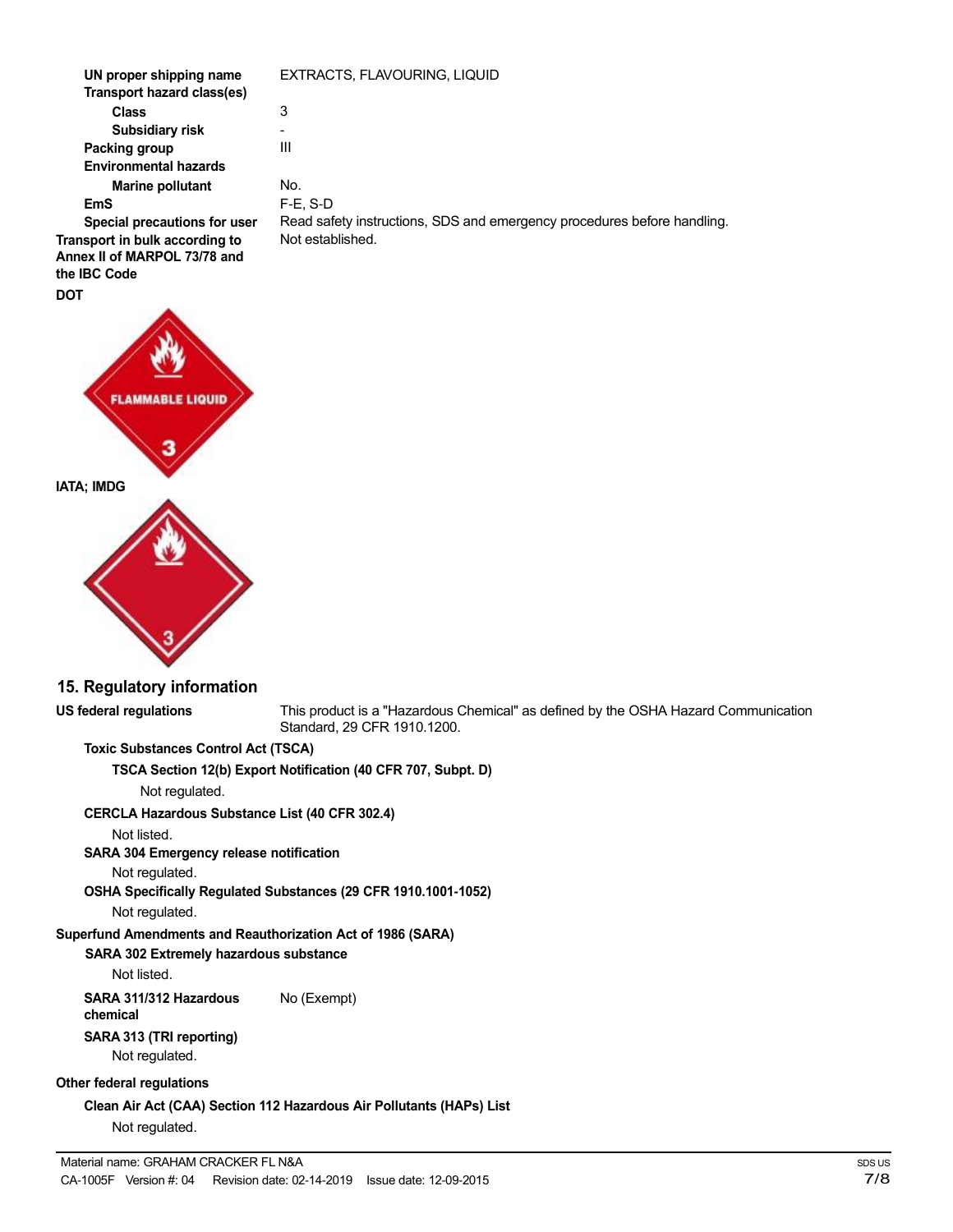**UN proper shipping name Transport hazard class(es) Class Subsidiary risk Packing group Environmental hazards Marine pollutant EmS Special precautions for user Transport in bulk according to Annex II of MARPOL 73/78 and the IBC Code** EXTRACTS, FLAVOURING, LIQUID 3 - III No. F-E, S-D Read safety instructions, SDS and emergency procedures before handling. Not established.



**DOT**

### **15. Regulatory information**

**US federal regulations** This product is a "Hazardous Chemical" as defined by the OSHA Hazard Communication Standard, 29 CFR 1910.1200.

**Toxic Substances Control Act (TSCA)**

**TSCA Section 12(b) Export Notification (40 CFR 707, Subpt. D)**

Not regulated.

**CERCLA Hazardous Substance List (40 CFR 302.4)**

Not listed.

**SARA 304 Emergency release notification**

Not regulated.

**OSHA Specifically Regulated Substances (29 CFR 1910.1001-1052)**

Not regulated.

### **Superfund Amendments and Reauthorization Act of 1986 (SARA)**

### **SARA 302 Extremely hazardous substance**

Not listed.

**SARA 311/312 Hazardous** No (Exempt) **chemical**

# **SARA 313 (TRI reporting)**

Not regulated.

### **Other federal regulations**

**Clean Air Act (CAA) Section 112 Hazardous Air Pollutants (HAPs) List** Not regulated.